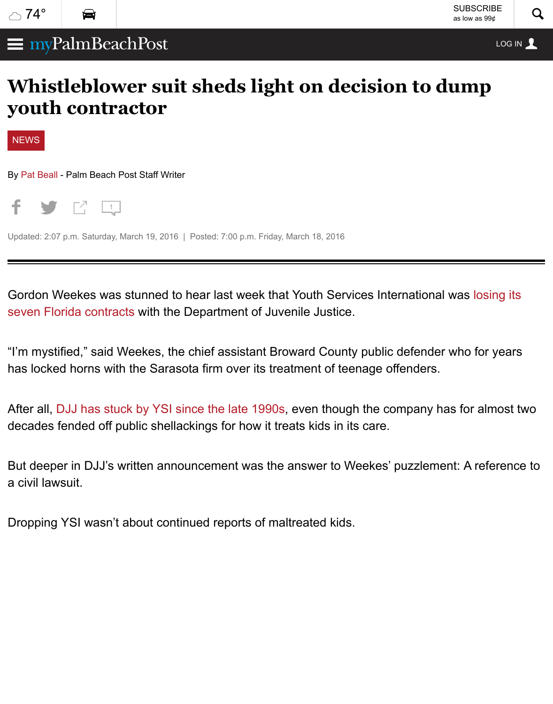## **[youth](http://www.mypalmbeachpost.com/weather/?icmp=mypalmbeachpost_internallink_weather_upperleft) [contr](http://www.palmbeachpost.com/traffic/)actor**



By Pat Beall - Palm Beach Post Staff Writer



[Updated: 2](http://www.mypalmbeachpost.com/categories/news/):07 p.m. Saturday, March 19, 2016 | Posted: 7:00 p.m. Friday, March 18, 2016

[Gor](http://www.mypalmbeachpost.com/news/news/whistleblower-suit-sheds-light-on-decision-to-dump/nqn55/?icmp=pbp_internallink_referralbox_free-to-premium-referral#)d[on W](http://www.mypalmbeachpost.com/news/news/whistleblower-suit-sheds-light-on-decision-to-dump/nqn55/?icmp=pbp_internallink_referralbox_free-to-premium-referral#)e[eke](http://www.mypalmbeachpost.com/news/news/whistleblower-suit-sheds-light-on-decision-to-dump/nqn55/?icmp=pbp_internallink_referralbox_free-to-premium-referral#)s [was](http://www.mypalmbeachpost.com/news/news/whistleblower-suit-sheds-light-on-decision-to-dump/nqn55/?icmp=pbp_internallink_referralbox_free-to-premium-referral#comments) stunned to hear last week that Youth Services International was seven Florida contracts with the Department of Juvenile Justice.

**Whistleblower suit sheds light on decision to dump**

"I'm mystified," said Weekes, the chief assistant Broward County public defender who has locked horns with the Sarasota firm over its treatment of teenage offenders.

After all, DJJ has stuck by YSI since the late 1990s, even though the company has for decades fended off public shellackings for how it treats kids in its care.

But deeper in DJJ's written announcement was the answer to Weekes' puzzlement: A a civil lawsuit.

Dropping YSI wasn't about continued reports of maltreated kids.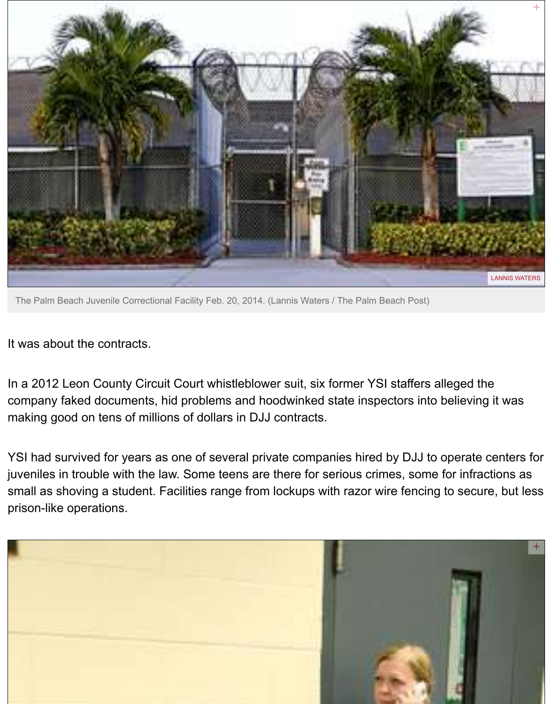

[The Palm Beach Juvenile Correctional Facility Feb. 20, 2014. \(Lannis Waters / The Palm Beach Post\)](http://www.mypalmbeachpost.com/news/news/whistleblower-suit-sheds-light-on-decision-to-dump/nqn55/?icmp=pbp_internallink_referralbox_free-to-premium-referral#modal-9071289)

It was about the contracts.

In a 2012 Leon County Circuit Court whistleblower suit, six former YSI staffers alleged company faked documents, hid problems and hoodwinked state inspectors into believ making good on tens of millions of dollars in DJJ contracts.

YSI had survived for years as one of several private companies hired by DJJ to opera juveniles in trouble with the law. Some teens are there for serious crimes, some for in small as shoving a student. Facilities range from lockups with razor wire fencing to se prison-like operations.

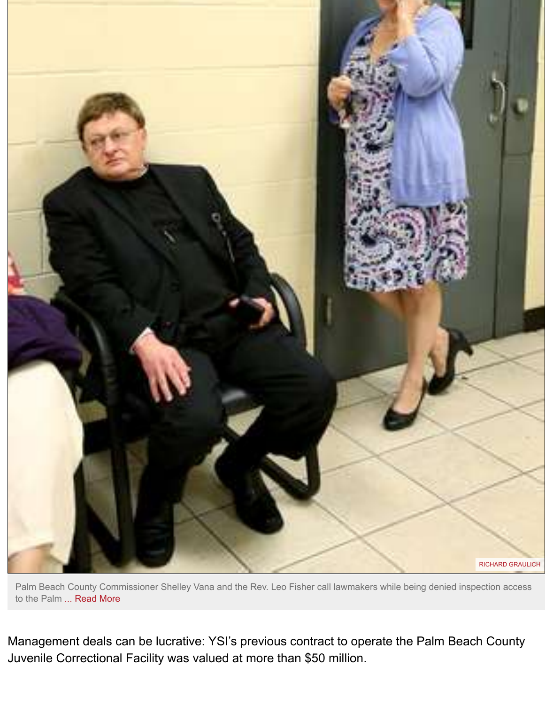

Palm Beach County Commissioner Shelley Vana and the Rev. Leo Fisher call lawmakers while being denied ins to the Palm ... Read More

Management deals can be lucrative: YSI's previous contract to operate the Palm Bea Juvenile Correctional Facility was valued at more than \$50 million.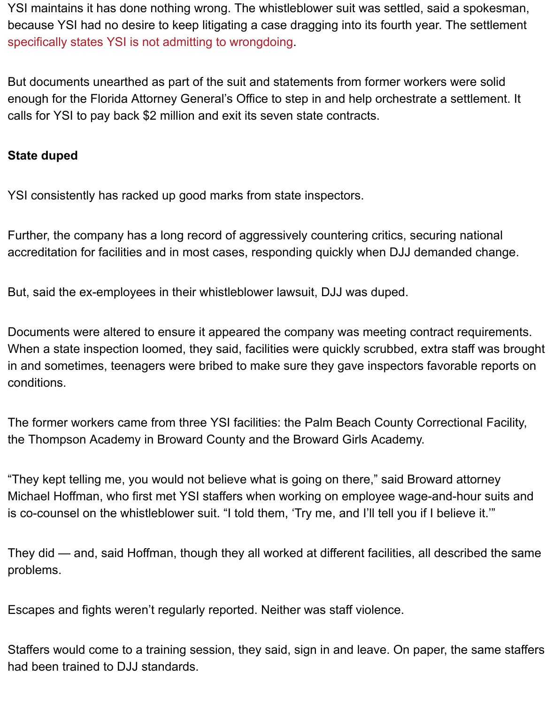enough for the Florida Attorney General's Office to step in and help orchestrate a sett calls for YSI to pay back \$2 million and exit its seven state contracts.

#### **State duped**

YSI consistently has racked up good marks from state inspectors.

Further, the company has a long record of aggressively countering critics, securing national accreditation for facilities and in most cases, responding quickly when DJJ demanded

But, said the ex-employees in their whistleblower lawsuit, DJJ was duped.

Documents were altered to ensure it appeared the company was meeting contract requirements. When a state inspection loomed, they said, facilities were quickly scrubbed, extra stat in and sometimes, teenagers were bribed to make sure they gave inspectors favorable conditions.

The former workers came from three YSI facilities: the Palm Beach County Correction the Thompson Academy in Broward County and the Broward Girls Academy.

"They kept telling me, you would not believe what is going on there," said Broward att Michael Hoffman, who first met YSI staffers when working on employee wage-and-ho is co-counsel on the whistleblower suit. "I told them, 'Try me, and I'll tell you if I believ

They did — and, said Hoffman, though they all worked at different facilities, all describ problems.

Escapes and fights weren't regularly reported. Neither was staff violence.

Staffers would come to a training session, they said, sign in and leave. On paper, the had been trained to DJJ standards.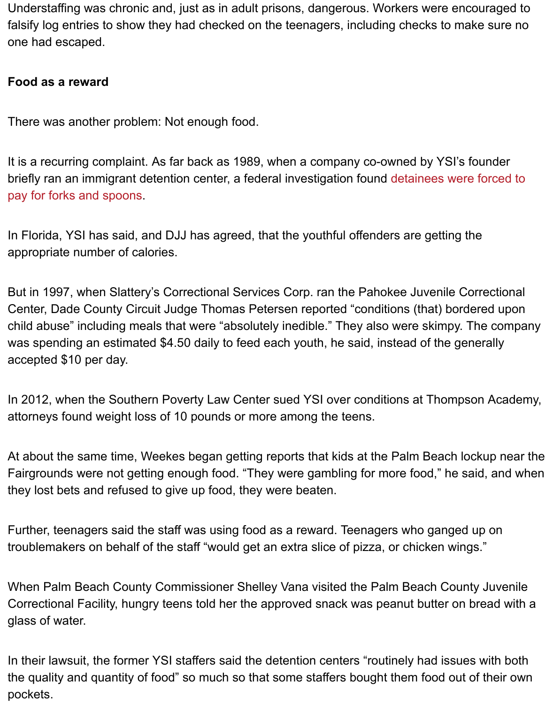There was another problem: Not enough food.

It is a recurring complaint. As far back as 1989, when a company co-owned by YSI's found briefly ran an immigrant detention center, a federal investigation found detainees were pay for forks and spoons.

In Florida, YSI has said, and DJJ has agreed, that the youthful offenders are getting the appropriate number of calories.

But in 1997, when Slattery's Correctional Services Corp. ran the Pahokee Juvenile Co Center, Dade County Circuit Judge Thomas Petersen reported "conditions (that) bord child abuse" including meals that were "absolutely inedible." They also were skimpy. The company of containg  $\sim$ was spending an estimated \$4.50 daily to feed each youth, he said, instead of the gei accepted \$10 per day.

In 2012, when the Southern Poverty Law Center sued YSI over conditions at Thomps attorneys found weight loss of 10 pounds or more among the teens.

At about the same time, Weekes began getting reports that kids at the Palm Beach lo Fairgrounds were not getting enough food. "They were gambling for more food," he said. they lost bets and refused to give up food, they were beaten.

Further, teenagers said the staff was using food as a reward. Teenagers who ganged troublemakers on behalf of the staff "would get an extra slice of pizza, or chicken wing

When Palm Beach County Commissioner Shelley Vana visited the Palm Beach County Julyets Correctional Facility, hungry teens told her the approved snack was peanut butter on glass of water.

In their lawsuit, the former YSI staffers said the detention centers "routinely had issue the quality and quantity of food" so much so that some staffers bought them food out pockets.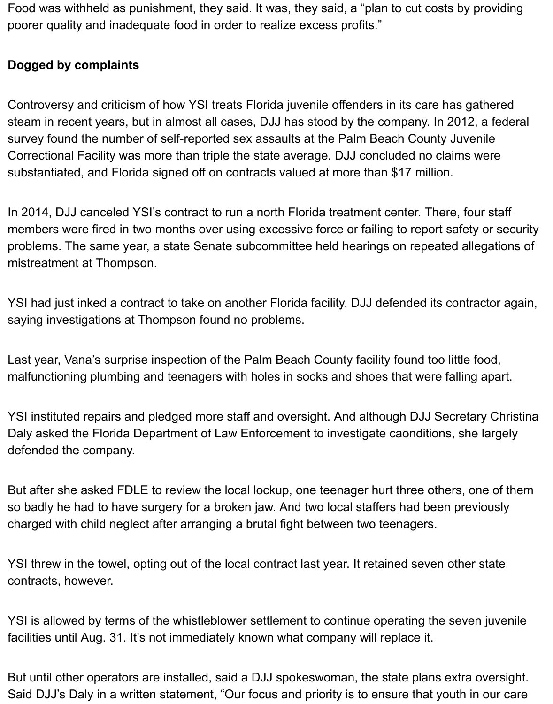Food was withheld as punishment, they said. It was, they said, a "plan to cut costs by providing poorer quality and inadequate food in order to realize excess profits."

### **Dogged by complaints**

Controversy and criticism of how YSI treats Florida juvenile offenders in its care has gathered steam in recent years, but in almost all cases, DJJ has stood by the company. In 2012, a federal survey found the number of self-reported sex assaults at the Palm Beach County Juvenile Correctional Facility was more than triple the state average. DJJ concluded no claims were substantiated, and Florida signed off on contracts valued at more than \$17 million.

In 2014, DJJ canceled YSI's contract to run a north Florida treatment center. There, four staff members were fired in two months over using excessive force or failing to report safety or security problems. The same year, a state Senate subcommittee held hearings on repeated allegations of mistreatment at Thompson.

YSI had just inked a contract to take on another Florida facility. DJJ defended its contractor again, saying investigations at Thompson found no problems.

Last year, Vana's surprise inspection of the Palm Beach County facility found too little food, malfunctioning plumbing and teenagers with holes in socks and shoes that were falling apart.

YSI instituted repairs and pledged more staff and oversight. And although DJJ Secretary Christina Daly asked the Florida Department of Law Enforcement to investigate caonditions, she largely defended the company.

But after she asked FDLE to review the local lockup, one teenager hurt three others, one of them so badly he had to have surgery for a broken jaw. And two local staffers had been previously charged with child neglect after arranging a brutal fight between two teenagers.

YSI threw in the towel, opting out of the local contract last year. It retained seven other state contracts, however.

YSI is allowed by terms of the whistleblower settlement to continue operating the seven juvenile facilities until Aug. 31. It's not immediately known what company will replace it.

But until other operators are installed, said a DJJ spokeswoman, the state plans extra oversight. Said DJJ's Daly in a written statement, "Our focus and priority is to ensure that youth in our care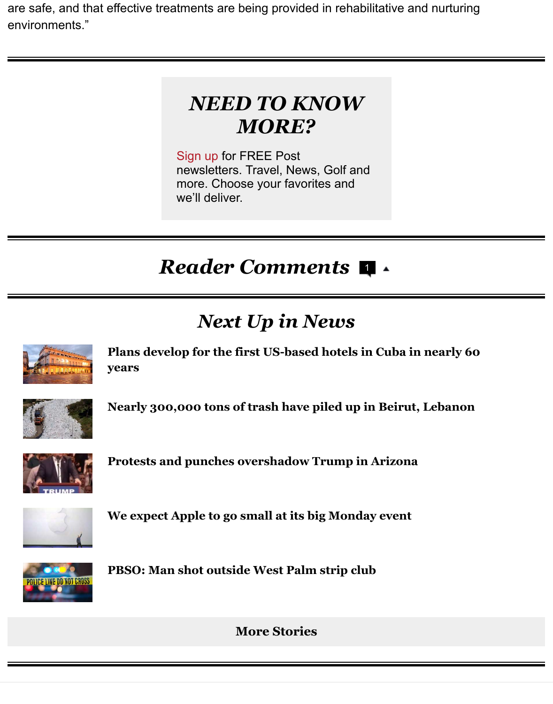### *NEED TO KNOW MORE?*

Sign up for FREE Post newsletters. Travel, News, Golf and more. Choose your favorites and we'll deliver.

# *R[eade](http://www.palmbeachpost.com/newsletters/subscriptions/)r Comments*  1

# *Next Up in News*



**Plans develop for the first US-based hotels in Cuba in nearly 60 years**



**Nearly 300,000 tons of trash have piled up in Beirut, Lebanon**



**[Protests and punches overshadow Trump in Arizona](http://www.mypalmbeachpost.com/news/news/national/plans-develop-first-us-based-hotels-cuba-nearly-60/nqpZp/)**



**We expect Apple to go small at its big Monday event**



**PBSO: Man shot outside West Palm strip club**

**More Stories**